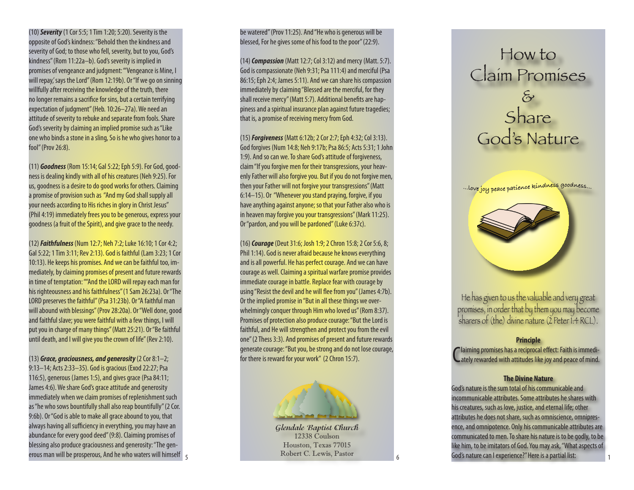(10) *Severity* (1 Cor 5:5; 1 Tim 1:20; 5:20). Severity is the opposite of God's kindness: "Behold then the kindness and severity of God; to those who fell, severity, but to you, God's kindness" (Rom 11:22a–b). God's severity is implied in promises of vengeance and judgment: "'Vengeance is Mine, I will repay,' says the Lord" (Rom 12:19b). Or "If we go on sinning willfully after receiving the knowledge of the truth, there no longer remains a sacrifice for sins, but a certain terrifying expectation of judgment" (Heb. 10:26–27a). We need an attitude of severity to rebuke and separate from fools. Share God's severity by claiming an implied promise such as "Like one who binds a stone in a sling, So is he who gives honor to a fool" (Prov 26:8).

(11) *Goodness* (Rom 15:14; Gal 5:22; Eph 5:9). For God, good ness is dealing kindly with all of his creatures (Neh 9:25). For us, goodness is a desire to do good works for others. Claiming a promise of provision such as "And my God shall supply all your needs according to His riches in glory in Christ Jesus" (Phil 4:19) immediately frees you to be generous, express your goodness (a fruit of the Spirit), and give grace to the needy.

(12) *Faithfulness* (Num 12:7; Neh 7:2; Luke 16:10; 1 Cor 4:2; Gal 5:22; 1 Tim 3:11; Rev 2:13). God is faithful (Lam 3:23; 1 Cor 10:13). He keeps his promises. And we can be faithful too, im mediately, by claiming promises of present and future rewards in time of temptation: ""And the LORD will repay each man for his righteousness and his faithfulness" (1 Sam 26:23a). Or "The LORD preserves the faithful" (Psa 31:23b). Or "A faithful man will abound with blessings" (Prov 28:20a). Or "Well done, good and faithful slave; you were faithful with a few things, I will put you in charge of many things" (Matt 25:21). Or "Be faithful until death, and I will give you the crown of life" (Rev 2:10).

(13) *Grace, graciousness, and generosity* (2 Cor 8:1–2; 9:13–14; Acts 2:33–35). God is gracious (Exod 22:27; Psa 116:5), generous (James 1:5), and gives grace (Psa 84:11; James 4:6). We share God's grace attitude and generosity immediately when we claim promises of replenishment such as "he who sows bountifully shall also reap bountifully" (2 Cor. 9:6b). Or "God is able to make all grace abound to you, that always having all sufficiency in everything, you may have an abundance for every good deed" (9:8). Claiming promises of blessing also produce graciousness and generosity: "The gen erous man will be prosperous, And he who waters will himself 5 be watered" (Prov 11:25). And "He who is generous will be blessed, For he gives some of his food to the poor" (22:9).

(14) *Compassion* (Matt 12:7; Col 3:12) and mercy (Matt. 5:7). God is compassionate (Neh 9:31; Psa 111:4) and merciful (Psa 86:15; Eph 2:4; James 5:11). And we can share his compassion immediately by claiming "Blessed are the merciful, for they shall receive mercy" (Matt 5:7). Additional benefits are hap piness and a spiritual insurance plan against future tragedies; that is, a promise of receiving mercy from God.

(15) *Forgiveness* (Matt 6:12b; 2 Cor 2:7; Eph 4:32; Col 3:13). God forgives (Num 14:8; Neh 9:17b; Psa 86:5; Acts 5:31; 1 John 1:9). And so can we. To share God's attitude of forgiveness, claim "If you forgive men for their transgressions, your heav enly Father will also forgive you. But if you do not forgive men, then your Father will not forgive your transgressions" (Matt 6:14–15). Or "Whenever you stand praying, forgive, if you have anything against anyone; so that your Father also who is in heaven may forgive you your transgressions" (Mark 11:25). Or "pardon, and you will be pardoned" (Luke 6:37c).

(16) *Courage* (Deut 31:6; Josh 1:9; 2 Chron 15:8; 2 Cor 5:6, 8; Phil 1:14). God is never afraid because he knows everything and is all powerful. He has perfect courage. And we can have courage as well. Claiming a spiritual warfare promise provides immediate courage in battle. Replace fear with courage by using "Resist the devil and he will flee from you" (James 4:7b). Or the implied promise in "But in all these things we over whelmingly conquer through Him who loved us" (Rom 8:37). Promises of protection also produce courage: "But the Lord is faithful, and He will strengthen and protect you from the evil one" (2 Thess 3:3). And promises of present and future rewards generate courage: "But you, be strong and do not lose courage, for there is reward for your work" (2 Chron 15:7).



**Glendale Baptist Church** 12338 Coulson Houston, Texas 77015 Robert C. Lewis, Pastor

Claim Promises & **Share** God's Nature

How to

... love joy peace patience kindness goodness...



He has given to us the valuable and very great promises, in order that by them you may become sharers of (the) divine nature (2 Peter 1:4 RCL).

## **Principle**

Claiming promises has a reciprocal effect: Faith is immedi-<br>Cately rewarded with attitudes like joy and peace of mind. laiming promises has a reciprocal effect: Faith is immedi -

## **The Divine Nature**

God's nature is the sum total of his communicable and incommunicable attributes. Some attributes he shares with his creatures, such as love, justice, and eternal life; other attributes he does not share, such as omniscience, omnipres ence, and omnipotence. Only his communicable attributes are communicated to men. To share his nature is to be godly, to be like him, to be imitators of God. You may ask, "What aspects of God's nature can I experience?" Here is a partial list: